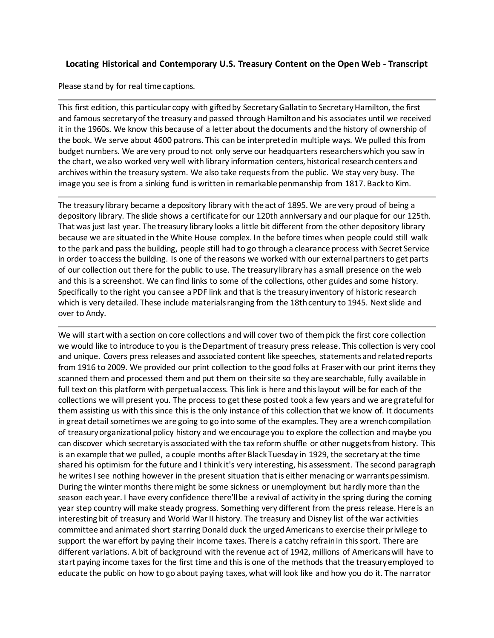## **Locating Historical and Contemporary U.S. Treasury Content on the Open Web - Transcript**

Please stand by for real time captions.

This first edition, this particular copy with gifted by Secretary Gallatin to Secretary Hamilton, the first and famous secretary of the treasury and passed through Hamilton and his associates until we received it in the 1960s. We know this because of a letter about the documents and the history of ownership of the book. We serve about 4600 patrons. This can be interpreted in multiple ways. We pulled this from budget numbers. We are very proud to not only serve our headquarters researchers which you saw in the chart, we also worked very well with library information centers, historical research centers and archives within the treasury system. We also take requests from the public. We stay very busy. The image you see is from a sinking fund is written in remarkable penmanship from 1817. Back to Kim.

The treasury library became a depository library with the act of 1895. We are very proud of being a depository library. The slide shows a certificate for our 120th anniversary and our plaque for our 125th. That was just last year. The treasury library looks a little bit different from the other depository library because we are situated in the White House complex. In the before times when people could still walk to the park and pass the building, people still had to go through a clearance process with Secret Service in order to access the building. Is one of the reasons we worked with our external partners to get parts of our collection out there for the public to use. The treasury library has a small presence on the web and this is a screenshot. We can find links to some of the collections, other guides and some history. Specifically to the right you can see a PDF link and that is the treasury inventory of historic research which is very detailed. These include materials ranging from the 18th century to 1945. Next slide and over to Andy.

We will start with a section on core collections and will cover two of them pick the first core collection we would like to introduce to you is the Department of treasury press release. This collection is very cool and unique. Covers press releases and associated content like speeches, statements and related reports from 1916 to 2009. We provided our print collection to the good folks at Fraser with our print items they scanned them and processed them and put them on their site so they are searchable, fully available in full text on this platform with perpetual access. This link is here and this layout will be for each of the collections we will present you. The process to get these posted took a few years and we are grateful for them assisting us with this since this is the only instance of this collection that we know of. It documents in great detail sometimes we are going to go into some of the examples. They are a wrench compilation of treasury organizational policy history and we encourage you to explore the collection and maybe you can discover which secretary is associated with the tax reform shuffle or other nuggets from history. This is an example that we pulled, a couple months after Black Tuesday in 1929, the secretary at the time shared his optimism for the future and I think it's very interesting, his assessment. The second paragraph he writes I see nothing however in the present situation that is either menacing or warrants pessimism. During the winter months there might be some sickness or unemployment but hardly more than the season each year. I have every confidence there'll be a revival of activity in the spring during the coming year step country will make steady progress. Something very different from the press release. Here is an interesting bit of treasury and World War II history. The treasury and Disney list of the war activities committee and animated short starring Donald duck the urged Americans to exercise their privilege to support the war effort by paying their income taxes. There is a catchy refrain in this sport. There are different variations. A bit of background with the revenue act of 1942, millions of Americans will have to start paying income taxes for the first time and this is one of the methods that the treasury employed to educate the public on how to go about paying taxes, what will look like and how you do it. The narrator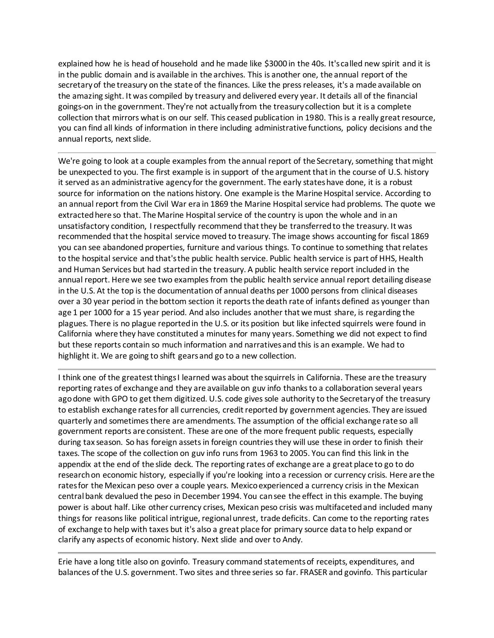explained how he is head of household and he made like \$3000 in the 40s. It's called new spirit and it is in the public domain and is available in the archives. This is another one, the annual report of the secretary of the treasury on the state of the finances. Like the press releases, it's a made available on the amazing sight. It was compiled by treasury and delivered every year. It details all of the financial goings-on in the government. They're not actually from the treasury collection but it is a complete collection that mirrors what is on our self. This ceased publication in 1980. This is a really great resource, you can find all kinds of information in there including administrative functions, policy decisions and the annual reports, next slide.

We're going to look at a couple examples from the annual report of the Secretary, something that might be unexpected to you. The first example is in support of the argument that in the course of U.S. history it served as an administrative agency for the government. The early states have done, it is a robust source for information on the nations history. One example is the Marine Hospital service. According to an annual report from the Civil War era in 1869 the Marine Hospital service had problems. The quote we extracted here so that. The Marine Hospital service of the country is upon the whole and in an unsatisfactory condition, I respectfully recommend that they be transferred to the treasury. It was recommended that the hospital service moved to treasury. The image shows accounting for fiscal 1869 you can see abandoned properties, furniture and various things. To continue to something that relates to the hospital service and that's the public health service. Public health service is part of HHS, Health and Human Services but had started in the treasury. A public health service report included in the annual report. Here we see two examples from the public health service annual report detailing disease in the U.S. At the top is the documentation of annual deaths per 1000 persons from clinical diseases over a 30 year period in the bottom section it reports the death rate of infants defined as younger than age 1 per 1000 for a 15 year period. And also includes another that we must share, is regarding the plagues. There is no plague reported in the U.S. or its position but like infected squirrels were found in California where they have constituted a minutes for many years. Something we did not expect to find but these reports contain so much information and narratives and this is an example. We had to highlight it. We are going to shift gears and go to a new collection.

I think one of the greatest things I learned was about the squirrels in California. These are the treasury reporting rates of exchange and they are available on guv info thanks to a collaboration several years ago done with GPO to get them digitized. U.S. code gives sole authority to the Secretary of the treasury to establish exchange rates for all currencies, credit reported by government agencies. They are issued quarterly and sometimes there are amendments. The assumption of the official exchange rate so all government reports are consistent. These are one of the more frequent public requests, especially during tax season. So has foreign assets in foreign countries they will use these in order to finish their taxes. The scope of the collection on guv info runs from 1963 to 2005. You can find this link in the appendix at the end of the slide deck. The reporting rates of exchange are a great place to go to do research on economic history, especially if you're looking into a recession or currency crisis. Here are the rates for the Mexican peso over a couple years. Mexico experienced a currency crisis in the Mexican central bank devalued the peso in December 1994. You can see the effect in this example. The buying power is about half. Like other currency crises, Mexican peso crisis was multifaceted and included many things for reasons like political intrigue, regional unrest, trade deficits. Can come to the reporting rates of exchange to help with taxes but it's also a great place for primary source data to help expand or clarify any aspects of economic history. Next slide and over to Andy.

Erie have a long title also on govinfo. Treasury command statements of receipts, expenditures, and balances of the U.S. government. Two sites and three series so far. FRASER and govinfo. This particular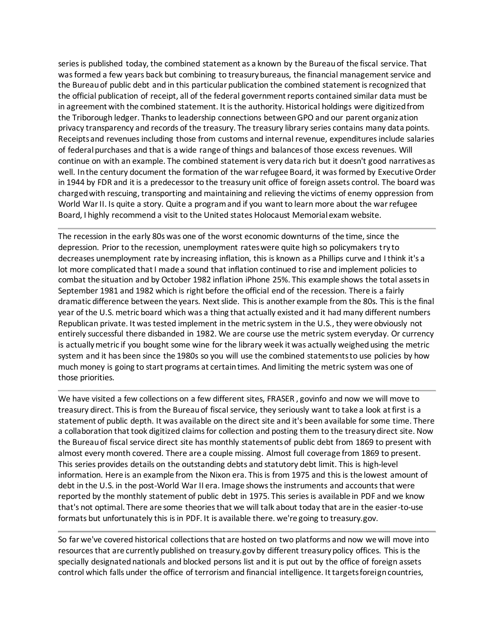series is published today, the combined statement as a known by the Bureau of the fiscal service. That was formed a few years back but combining to treasury bureaus, the financial management service and the Bureau of public debt and in this particular publication the combined statement is recognized that the official publication of receipt, all of the federal government reports contained similar data must be in agreement with the combined statement. It is the authority. Historical holdings were digitized from the Triborough ledger. Thanks to leadership connections between GPO and our parent organization privacy transparency and records of the treasury. The treasury library series contains many data points. Receipts and revenues including those from customs and internal revenue, expenditures include salaries of federal purchases and that is a wide range of things and balances of those excess revenues. Will continue on with an example. The combined statement is very data rich but it doesn't good narratives as well. In the century document the formation of the war refugee Board, it was formed by Executive Order in 1944 by FDR and it is a predecessor to the treasury unit office of foreign assets control. The board was charged with rescuing, transporting and maintaining and relieving the victims of enemy oppression from World War II. Is quite a story. Quite a program and if you want to learn more about the war refugee Board, I highly recommend a visit to the United states Holocaust Memorial exam website.

The recession in the early 80s was one of the worst economic downturns of the time, since the depression. Prior to the recession, unemployment rates were quite high so policymakers try to decreases unemployment rate by increasing inflation, this is known as a Phillips curve and I think it's a lot more complicated that I made a sound that inflation continued to rise and implement policies to combat the situation and by October 1982 inflation iPhone 25%. This example shows the total assets in September 1981 and 1982 which is right before the official end of the recession. There is a fairly dramatic difference between the years. Next slide. This is another example from the 80s. This is the final year of the U.S. metric board which was a thing that actually existed and it had many different numbers Republican private. It was tested implement in the metric system in the U.S., they were obviously not entirely successful there disbanded in 1982. We are course use the metric system everyday. Or currency is actually metric if you bought some wine for the library week it was actually weighed using the metric system and it has been since the 1980s so you will use the combined statements to use policies by how much money is going to start programs at certain times. And limiting the metric system was one of those priorities.

We have visited a few collections on a few different sites, FRASER, govinfo and now we will move to treasury direct. This is from the Bureau of fiscal service, they seriously want to take a look at first is a statement of public depth. It was available on the direct site and it's been available for some time. There a collaboration that took digitized claims for collection and posting them to the treasury direct site. Now the Bureau of fiscal service direct site has monthly statements of public debt from 1869 to present with almost every month covered. There are a couple missing. Almost full coverage from 1869 to present. This series provides details on the outstanding debts and statutory debt limit. This is high-level information. Here is an example from the Nixon era. This is from 1975 and this is the lowest amount of debt in the U.S. in the post-World War II era. Image shows the instruments and accounts that were reported by the monthly statement of public debt in 1975. This series is available in PDF and we know that's not optimal. There are some theories that we will talk about today that are in the easier-to-use formats but unfortunately this is in PDF. It is available there. we're going to treasury.gov.

So far we've covered historical collections that are hosted on two platforms and now we will move into resources that are currently published on treasury.gov by different treasury policy offices. This is the specially designated nationals and blocked persons list and it is put out by the office of foreign assets control which falls under the office of terrorism and financial intelligence. It targets foreign countries,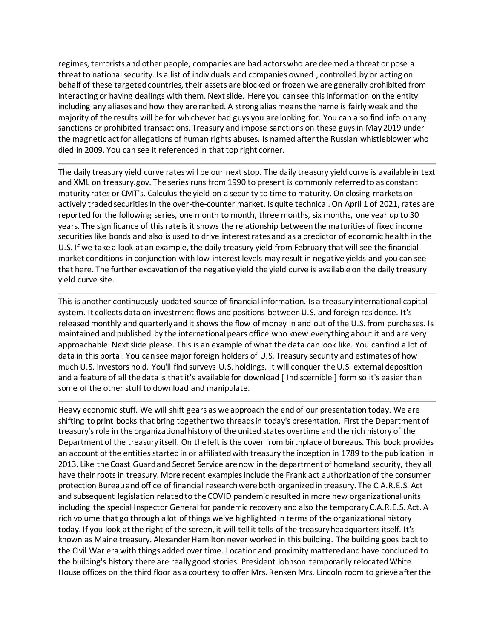regimes, terrorists and other people, companies are bad actors who are deemed a threat or pose a threat to national security. Is a list of individuals and companies owned , controlled by or acting on behalf of these targeted countries, their assets are blocked or frozen we are generally prohibited from interacting or having dealings with them. Next slide. Here you can see this information on the entity including any aliases and how they are ranked. A strong alias means the name is fairly weak and the majority of the results will be for whichever bad guys you are looking for. You can also find info on any sanctions or prohibited transactions. Treasury and impose sanctions on these guys in May 2019 under the magnetic act for allegations of human rights abuses. Is named after the Russian whistleblower who died in 2009. You can see it referenced in that top right corner.

The daily treasury yield curve rates will be our next stop. The daily treasury yield curve is available in text and XML on treasury.gov. The series runs from 1990 to present is commonly referred to as constant maturity rates or CMT's. Calculus the yield on a security to time to maturity. On closing markets on actively traded securities in the over-the-counter market. Is quite technical. On April 1 of 2021, rates are reported for the following series, one month to month, three months, six months, one year up to 30 years. The significance of this rate is it shows the relationship between the maturities of fixed income securities like bonds and also is used to drive interest rates and as a predictor of economic health in the U.S. If we take a look at an example, the daily treasury yield from February that will see the financial market conditions in conjunction with low interest levels may result in negative yields and you can see that here. The further excavation of the negative yield the yield curve is available on the daily treasury yield curve site.

This is another continuously updated source of financial information. Is a treasury international capital system. It collects data on investment flows and positions between U.S. and foreign residence. It's released monthly and quarterly and it shows the flow of money in and out of the U.S. from purchases. Is maintained and published by the international pears office who knew everything about it and are very approachable. Next slide please. This is an example of what the data can look like. You can find a lot of data in this portal. You can see major foreign holders of U.S. Treasury security and estimates of how much U.S. investors hold. You'll find surveys U.S. holdings. It will conquer the U.S. external deposition and a feature of all the data is that it's available for download [ Indiscernible ] form so it's easier than some of the other stuff to download and manipulate.

Heavy economic stuff. We will shift gears as we approach the end of our presentation today. We are shifting to print books that bring together two threads in today's presentation. First the Department of treasury's role in the organizational history of the united states overtime and the rich history of the Department of the treasury itself. On the left is the cover from birthplace of bureaus. This book provides an account of the entities started in or affiliated with treasury the inception in 1789 to the publication in 2013. Like the Coast Guard and Secret Service are now in the department of homeland security, they all have their roots in treasury. More recent examples include the Frank act authorization of the consumer protection Bureau and office of financial research were both organized in treasury. The C.A.R.E.S. Act and subsequent legislation related to the COVID pandemic resulted in more new organizational units including the special Inspector General for pandemic recovery and also the temporary C.A.R.E.S. Act. A rich volume that go through a lot of things we've highlighted in terms of the organizational history today. If you look at the right of the screen, it will tell it tells of the treasury headquarters itself. It's known as Maine treasury. Alexander Hamilton never worked in this building. The building goes back to the Civil War era with things added over time. Location and proximity mattered and have concluded to the building's history there are really good stories. President Johnson temporarily relocated White House offices on the third floor as a courtesy to offer Mrs. Renken Mrs. Lincoln room to grieve after the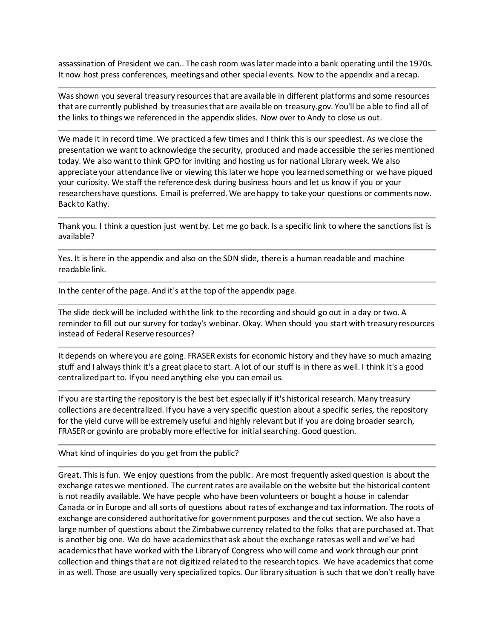assassination of President we can.. The cash room was later made into a bank operating until the 1970s. It now host press conferences, meetings and other special events. Now to the appendix and a recap.

Was shown you several treasury resources that are available in different platforms and some resources that are currently published by treasuries that are available on treasury.gov. You'll be able to find all of the links to things we referenced in the appendix slides. Now over to Andy to close us out.

We made it in record time. We practiced a few times and I think this is our speediest. As we close the presentation we want to acknowledge the security, produced and made accessible the series mentioned today. We also want to think GPO for inviting and hosting us for national Library week. We also appreciate your attendance live or viewing this later we hope you learned something or we have piqued your curiosity. We staff the reference desk during business hours and let us know if you or your researchers have questions. Email is preferred. We are happy to take your questions or comments now. Back to Kathy.

Thank you. I think a question just went by. Let me go back. Is a specific link to where the sanctions list is available?

Yes. It is here in the appendix and also on the SDN slide, there is a human readable and machine readable link.

In the center of the page. And it's at the top of the appendix page.

The slide deck will be included with the link to the recording and should go out in a day or two. A reminder to fill out our survey for today's webinar. Okay. When should you start with treasury resources instead of Federal Reserve resources?

It depends on where you are going. FRASER exists for economic history and they have so much amazing stuff and I always think it's a great place to start. A lot of our stuff is in there as well. I think it's a good centralized part to. If you need anything else you can email us.

If you are starting the repository is the best bet especially if it's historical research. Many treasury collections are decentralized. If you have a very specific question about a specific series, the repository for the yield curve will be extremely useful and highly relevant but if you are doing broader search, FRASER or govinfo are probably more effective for initial searching. Good question.

What kind of inquiries do you get from the public?

Great. This is fun. We enjoy questions from the public. Are most frequently asked question is about the exchange rates we mentioned. The current rates are available on the website but the historical content is not readily available. We have people who have been volunteers or bought a house in calendar Canada or in Europe and all sorts of questions about rates of exchange and tax information. The roots of exchange are considered authoritative for government purposes and the cut section. We also have a large number of questions about the Zimbabwe currency related to the folks that are purchased at. That is another big one. We do have academics that ask about the exchange rates as well and we've had academics that have worked with the Library of Congress who will come and work through our print collection and things that are not digitized related to the research topics. We have academics that come in as well. Those are usually very specialized topics. Our library situation is such that we don't really have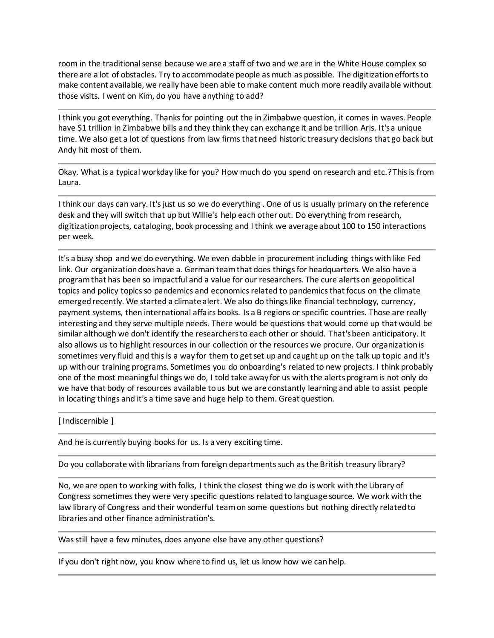room in the traditional sense because we are a staff of two and we are in the White House complex so there are a lot of obstacles. Try to accommodate people as much as possible. The digitization efforts to make content available, we really have been able to make content much more readily available without those visits. I went on Kim, do you have anything to add?

I think you got everything. Thanks for pointing out the in Zimbabwe question, it comes in waves. People have \$1 trillion in Zimbabwe bills and they think they can exchange it and be trillion Aris. It's a unique time. We also get a lot of questions from law firms that need historic treasury decisions that go back but Andy hit most of them.

Okay. What is a typical workday like for you? How much do you spend on research and etc.? This is from Laura.

I think our days can vary. It's just us so we do everything . One of us is usually primary on the reference desk and they will switch that up but Willie's help each other out. Do everything from research, digitization projects, cataloging, book processing and I think we average about 100 to 150 interactions per week.

It's a busy shop and we do everything. We even dabble in procurement including things with like Fed link. Our organization does have a. German team that does things for headquarters. We also have a program that has been so impactful and a value for our researchers. The cure alerts on geopolitical topics and policy topics so pandemics and economics related to pandemics that focus on the climate emerged recently. We started a climate alert. We also do things like financial technology, currency, payment systems, then international affairs books. Is a B regions or specific countries. Those are really interesting and they serve multiple needs. There would be questions that would come up that would be similar although we don't identify the researchers to each other or should. That's been anticipatory. It also allows us to highlight resources in our collection or the resources we procure. Our organization is sometimes very fluid and this is a way for them to get set up and caught up on the talk up topic and it's up with our training programs. Sometimes you do onboarding's related to new projects. I think probably one of the most meaningful things we do, I told take away for us with the alerts program is not only do we have that body of resources available to us but we are constantly learning and able to assist people in locating things and it's a time save and huge help to them. Great question.

[ Indiscernible ]

And he is currently buying books for us. Is a very exciting time.

Do you collaborate with librarians from foreign departments such as the British treasury library?

No, we are open to working with folks, I think the closest thing we do is work with the Library of Congress sometimes they were very specific questions related to language source. We work with the law library of Congress and their wonderful team on some questions but nothing directly related to libraries and other finance administration's.

Was still have a few minutes, does anyone else have any other questions?

If you don't right now, you know where to find us, let us know how we can help.